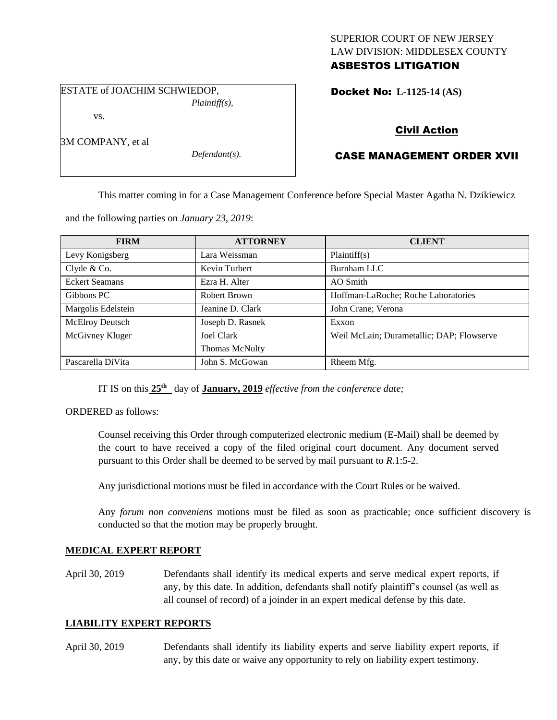#### SUPERIOR COURT OF NEW JERSEY LAW DIVISION: MIDDLESEX COUNTY ASBESTOS LITIGATION

ESTATE of JOACHIM SCHWIEDOP,

*Plaintiff(s),*

Docket No: **L-1125-14 (AS)** 

vs.

3M COMPANY, et al

*Defendant(s).*

## Civil Action

# CASE MANAGEMENT ORDER XVII

This matter coming in for a Case Management Conference before Special Master Agatha N. Dzikiewicz

and the following parties on *January 23, 2019*:

| <b>FIRM</b>           | <b>ATTORNEY</b>       | <b>CLIENT</b>                             |
|-----------------------|-----------------------|-------------------------------------------|
| Levy Konigsberg       | Lara Weissman         | Plaintiff(s)                              |
| Clyde & Co.           | Kevin Turbert         | Burnham LLC                               |
| <b>Eckert Seamans</b> | Ezra H. Alter         | AO Smith                                  |
| Gibbons PC            | Robert Brown          | Hoffman-LaRoche; Roche Laboratories       |
| Margolis Edelstein    | Jeanine D. Clark      | John Crane; Verona                        |
| McElroy Deutsch       | Joseph D. Rasnek      | Exxon                                     |
| McGivney Kluger       | Joel Clark            | Weil McLain; Durametallic; DAP; Flowserve |
|                       | <b>Thomas McNulty</b> |                                           |
| Pascarella DiVita     | John S. McGowan       | Rheem Mfg.                                |

IT IS on this  $25<sup>th</sup>$  day of **January, 2019** *effective from the conference date*;

ORDERED as follows:

Counsel receiving this Order through computerized electronic medium (E-Mail) shall be deemed by the court to have received a copy of the filed original court document. Any document served pursuant to this Order shall be deemed to be served by mail pursuant to *R*.1:5-2.

Any jurisdictional motions must be filed in accordance with the Court Rules or be waived.

Any *forum non conveniens* motions must be filed as soon as practicable; once sufficient discovery is conducted so that the motion may be properly brought.

### **MEDICAL EXPERT REPORT**

April 30, 2019 Defendants shall identify its medical experts and serve medical expert reports, if any, by this date. In addition, defendants shall notify plaintiff's counsel (as well as all counsel of record) of a joinder in an expert medical defense by this date.

### **LIABILITY EXPERT REPORTS**

April 30, 2019 Defendants shall identify its liability experts and serve liability expert reports, if any, by this date or waive any opportunity to rely on liability expert testimony.